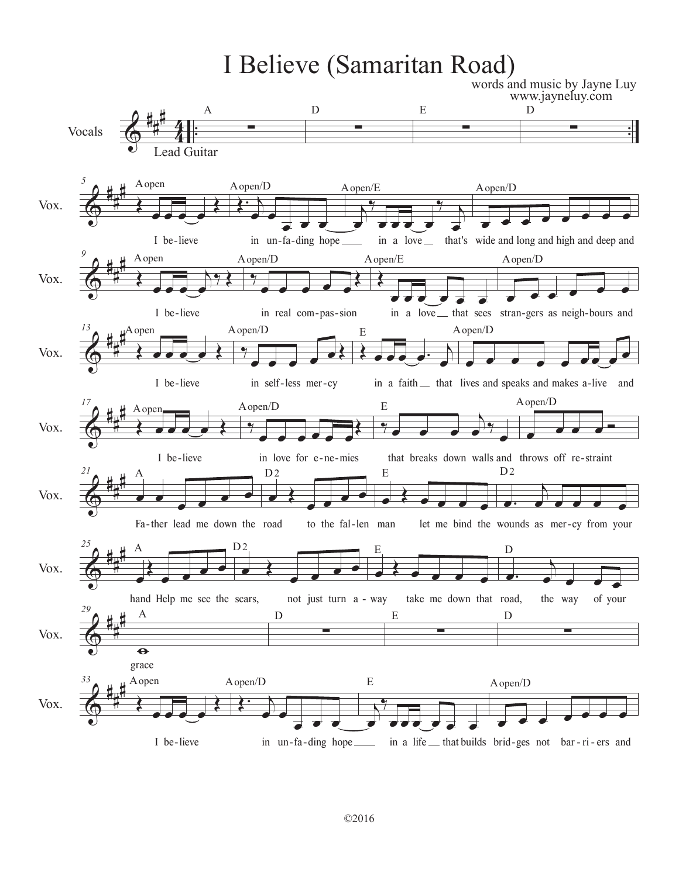## I Believe (Samaritan Road)

words and music by Jayne Luy www.jayneluy.com

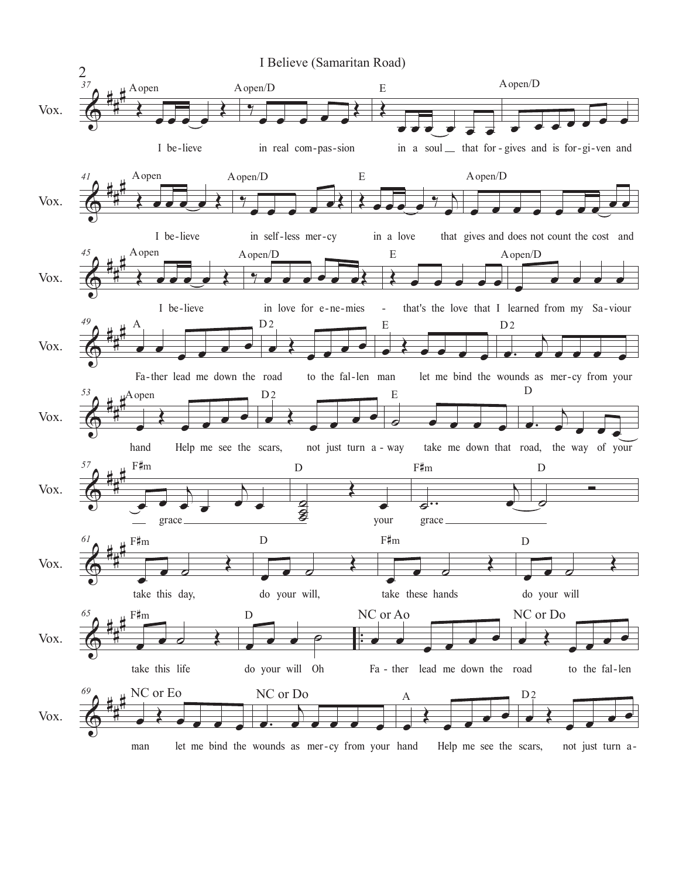